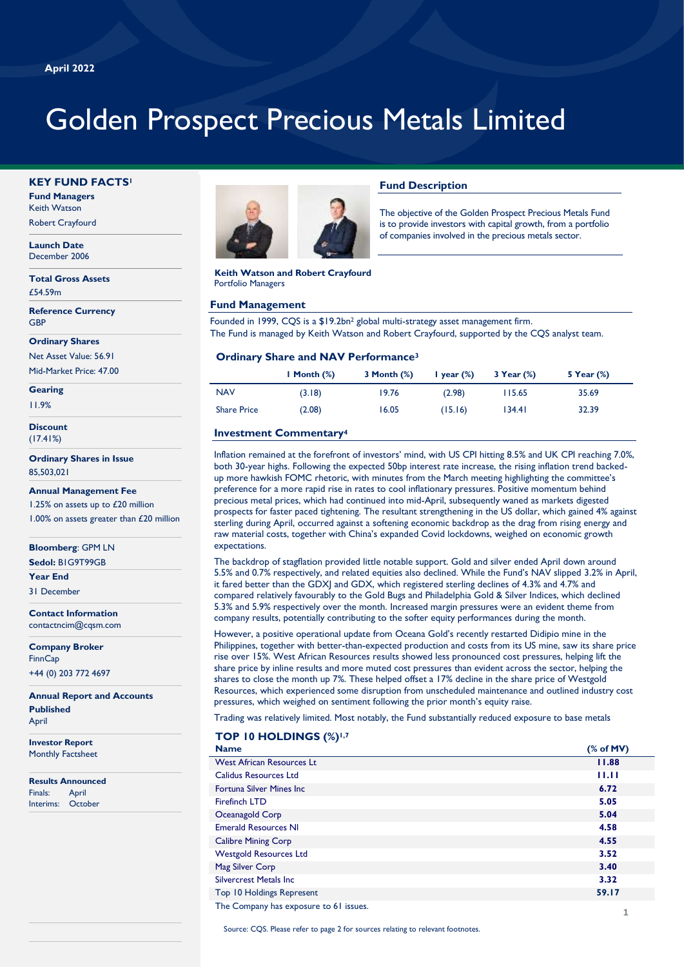# Golden Prospect Precious Metals Limited

#### **KEY FUND FACTS<sup>1</sup>**

**Fund Managers** Keith Watson

Robert Crayfourd

**Launch Date** December 2006

**Total Gross Assets** £54.59m

**Reference Currency GBF** 

**Ordinary Shares**

Net Asset Value: 56.91 Mid-Market Price: 47.00

**Gearing**

11.9%

**Discount** (17.41%)

**Ordinary Shares in Issue** 85,503,021

**Annual Management Fee**

1.25% on assets up to £20 million 1.00% on assets greater than £20 million

**Bloomberg**: GPM LN **Sedol:** B1G9T99GB

**Year End**

31 December

**Contact Information** contactncim@cqsm.com

**Company Broker FinnCap** +44 (0) 203 772 4697

**Annual Report and Accounts Published** April

**Investor Report** Monthly Factsheet

**Results Announced** Finals: April Interims: October



**Keith Watson and Robert Crayfourd** Portfolio Managers

#### **Fund Management**

Founded in 1999, CQS is a \$19.2bn<sup>2</sup> global multi-strategy asset management firm. The Fund is managed by Keith Watson and Robert Crayfourd, supported by the CQS analyst team.

#### **Ordinary Share and NAV Performance<sup>3</sup>**

|                    | I Month $(\%)$ | 3 Month $(\%)$ | I year $(\%)$ | $3$ Year $(\%)$ | 5 Year $(\%)$ |
|--------------------|----------------|----------------|---------------|-----------------|---------------|
| <b>NAV</b>         | (3.18)         | 19.76          | (2.98)        | 115.65          | 35.69         |
| <b>Share Price</b> | (2.08)         | 16.05          | (15.16)       | 134.41          | 32.39         |

**Fund Description**

The objective of the Golden Prospect Precious Metals Fund is to provide investors with capital growth, from a portfolio of companies involved in the precious metals sector.

### **Investment Commentary<sup>4</sup>**

Inflation remained at the forefront of investors' mind, with US CPI hitting 8.5% and UK CPI reaching 7.0%, both 30-year highs. Following the expected 50bp interest rate increase, the rising inflation trend backedup more hawkish FOMC rhetoric, with minutes from the March meeting highlighting the committee's preference for a more rapid rise in rates to cool inflationary pressures. Positive momentum behind precious metal prices, which had continued into mid-April, subsequently waned as markets digested prospects for faster paced tightening. The resultant strengthening in the US dollar, which gained 4% against sterling during April, occurred against a softening economic backdrop as the drag from rising energy and raw material costs, together with China's expanded Covid lockdowns, weighed on economic growth expectations.

The backdrop of stagflation provided little notable support. Gold and silver ended April down around 5.5% and 0.7% respectively, and related equities also declined. While the Fund's NAV slipped 3.2% in April, it fared better than the GDXJ and GDX, which registered sterling declines of 4.3% and 4.7% and compared relatively favourably to the Gold Bugs and Philadelphia Gold & Silver Indices, which declined 5.3% and 5.9% respectively over the month. Increased margin pressures were an evident theme from company results, potentially contributing to the softer equity performances during the month.

However, a positive operational update from Oceana Gold's recently restarted Didipio mine in the Philippines, together with better-than-expected production and costs from its US mine, saw its share price rise over 15%. West African Resources results showed less pronounced cost pressures, helping lift the share price by inline results and more muted cost pressures than evident across the sector, helping the shares to close the month up 7%. These helped offset a 17% decline in the share price of Westgold Resources, which experienced some disruption from unscheduled maintenance and outlined industry cost pressures, which weighed on sentiment following the prior month's equity raise.

Trading was relatively limited. Most notably, the Fund substantially reduced exposure to base metals

### producer, MetalsX, reflecting the softening economic growth outlook. **TOP 10 HOLDINGS (%)1,7**

| <b>Name</b>                            | % of MV) |
|----------------------------------------|----------|
| <b>West African Resources Lt</b>       | 11.88    |
| <b>Calidus Resources Ltd</b>           | 11.11    |
| <b>Fortuna Silver Mines Inc.</b>       | 6.72     |
| <b>Firefinch LTD</b>                   | 5.05     |
| Oceanagold Corp                        | 5.04     |
| <b>Emerald Resources NI</b>            | 4.58     |
| <b>Calibre Mining Corp</b>             | 4.55     |
| <b>Westgold Resources Ltd</b>          | 3.52     |
| Mag Silver Corp                        | 3.40     |
| <b>Silvercrest Metals Inc.</b>         | 3.32     |
| Top 10 Holdings Represent              | 59.17    |
| The Company has exposure to 61 issues. |          |

Source: CQS. Please refer to page 2 for sources relating to relevant footnotes.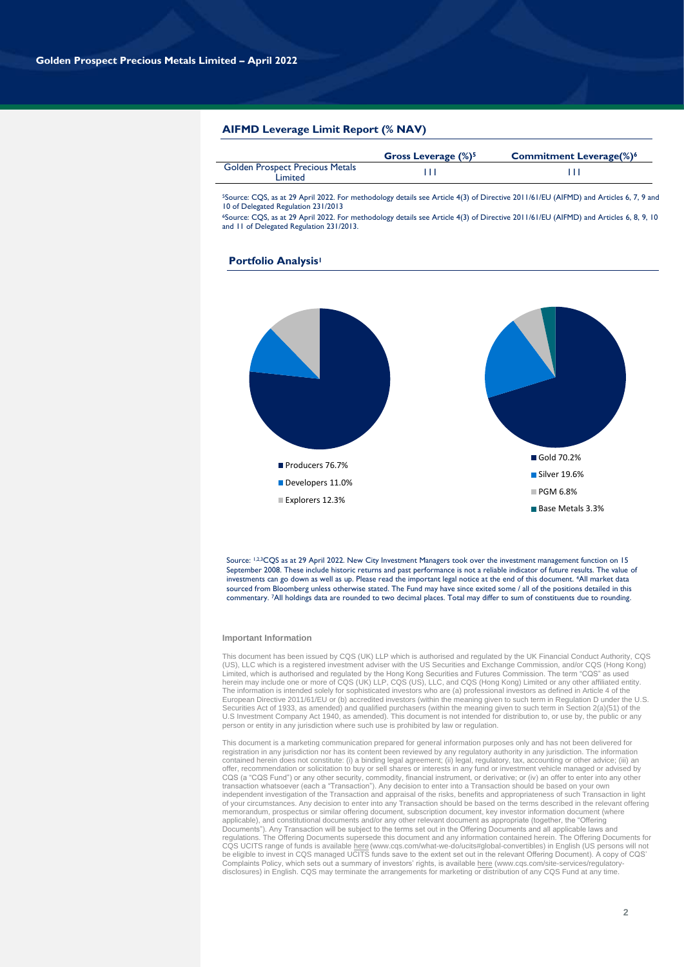#### **AIFMD Leverage Limit Report (% NAV)**

|                                                   | <b>Gross Leverage (%)<sup>5</sup></b> | <b>Commitment Leverage(%)</b> 6 |
|---------------------------------------------------|---------------------------------------|---------------------------------|
| <b>Golden Prospect Precious Metals</b><br>Limited |                                       |                                 |

<sup>5</sup>Source: CQS, as at 29 April 2022. For methodology details see Article 4(3) of Directive 2011/61/EU (AIFMD) and Articles 6, 7, 9 and 10 of Delegated Regulation 231/2013

<sup>6</sup>Source: CQS, as at 29 April 2022. For methodology details see Article 4(3) of Directive 2011/61/EU (AIFMD) and Articles 6, 8, 9, 10 and 11 of Delegated Regulation 231/2013.

# **IMProducers 76.7%** Developers 11.0% Explorers 12.3% Gold 70.2% Silver 19.6% PGM 6.8% Base Metals 3.3%

Source: 1,2,3CQS as at 29 April 2022. New City Investment Managers took over the investment management function on 15 September 2008. These include historic returns and past performance is not a reliable indicator of future results. The value of investments can go down as well as up. Please read the important legal notice at the end of this document. 4All market data sourced from Bloomberg unless otherwise stated. The Fund may have since exited some / all of the positions detailed in this

commentary. 7All holdings data are rounded to two decimal places. Total may differ to sum of constituents due to rounding.

#### **Important Information**

This document has been issued by CQS (UK) LLP which is authorised and regulated by the UK Financial Conduct Authority, CQS (US), LLC which is a registered investment adviser with the US Securities and Exchange Commission, and/or CQS (Hong Kong)<br>Limited, which is authorised and regulated by the Hong Kong Securities and Futures Commission. The t The information is intended solely for sophisticated investors who are (a) professional investors as defined in Article 4 of the<br>European Directive 2011/61/EU or (b) accredited investors (within the meaning given to such t Securities Act of 1933, as amended) and qualified purchasers (within the meaning given to such term in Section 2(a)(51) of the<br>U.S Investment Company Act 1940, as amended). This document is not intended for distribution to person or entity in any jurisdiction where such use is prohibited by law or regulation.

This document is a marketing communication prepared for general information purposes only and has not been delivered for registration in any jurisdiction nor has its content been reviewed by any regulatory authority in any jurisdiction. The information contained herein does not constitute: (i) a binding legal agreement; (ii) legal, regulatory, tax, accounting or other advice; (iii) an offer, recommendation or solicitation to buy or sell shares or interests in any fund or investment vehicle managed or advised by<br>CQS (a "CQS Fund") or any other security, commodity, financial instrument, or derivative; or transaction whatsoever (each a "Transaction"). Any decision to enter into a Transaction should be based on your own independent investigation of the Transaction and appraisal of the risks, benefits and appropriateness of such Transaction in light<br>of your circumstances. Any decision to enter into any Transaction should be based on the te memorandum, prospectus or similar offering document, subscription document, key investor information document (where applicable), and constitutional documents and/or any other relevant document as appropriate (together, the "Offering<br>Documents"). Any Transaction will be subject to the terms set out in the Offering Documents and all appli regulations. The Offering Documents supersede this document and any information contained herein. The Offering Documents for CQS UCITS range of funds is available <u>here</u> (www.cqs.com/what-we-do/ucits#global-convertibles) in English (US persons will not<br>be eligible to invest in CQS managed UCITS funds save to the extent set out in the relevant Of Complaints Policy, which sets out a summary of investors' rights, is availabl[e here](https://www.cqs.com/site-services/regulatory-disclosures) (www.cqs.com/site-services/regulatorydisclosures) in English. CQS may terminate the arrangements for marketing or distribution of any CQS Fund at any time.

### **Portfolio Analysis<sup>1</sup>**